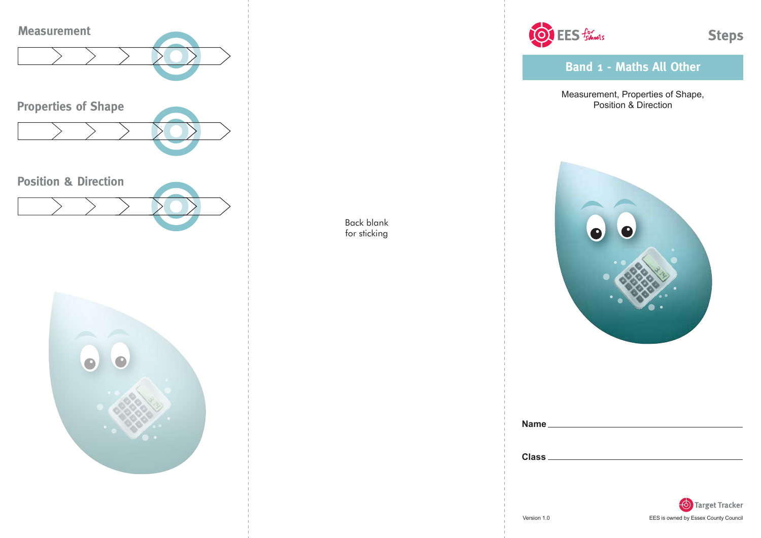



OF EES formeds

**Band 1 - Maths All Other**

Measurement, Properties of Shape, Position & Direction



| <b>Name</b>  |  |  |  |
|--------------|--|--|--|
|              |  |  |  |
|              |  |  |  |
| <b>Class</b> |  |  |  |

Back blank for sticking